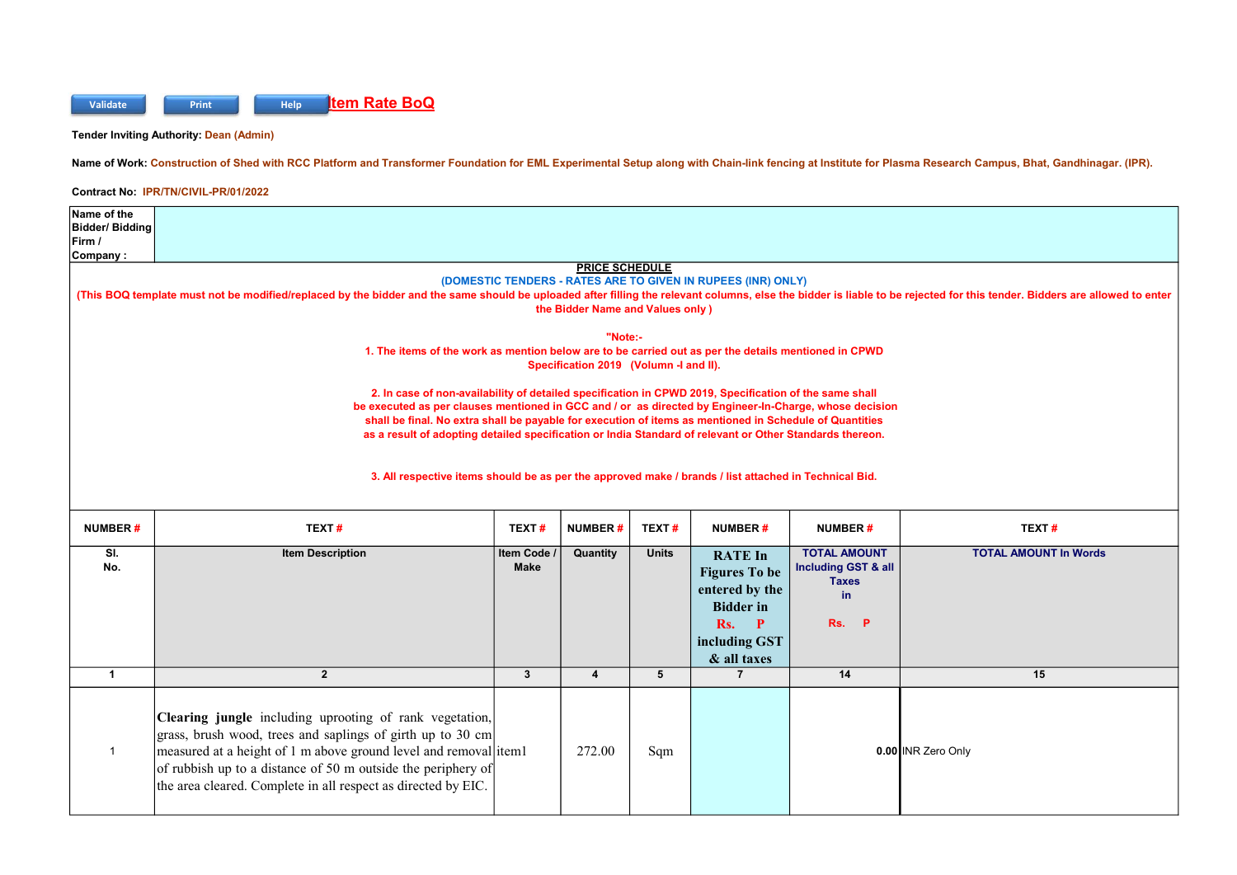

Tender Inviting Authority: Dean (Admin)

Name of Work: Construction of Shed with RCC Platform and Transformer Foundation for EML Experimental Setup along with Chain-link fencing at Institute for Plasma Research Campus, Bhat, Gandhinagar. (IPR).

Contract No: IPR/TN/CIVIL-PR/01/2022

| Name of the                                                  |                                                                                                                                                                                                                           |              |                                        |                                |                               |                     |                              |  |  |  |  |  |
|--------------------------------------------------------------|---------------------------------------------------------------------------------------------------------------------------------------------------------------------------------------------------------------------------|--------------|----------------------------------------|--------------------------------|-------------------------------|---------------------|------------------------------|--|--|--|--|--|
| Bidder/Bidding                                               |                                                                                                                                                                                                                           |              |                                        |                                |                               |                     |                              |  |  |  |  |  |
| Firm /                                                       |                                                                                                                                                                                                                           |              |                                        |                                |                               |                     |                              |  |  |  |  |  |
| Company:<br><b>PRICE SCHEDULE</b>                            |                                                                                                                                                                                                                           |              |                                        |                                |                               |                     |                              |  |  |  |  |  |
| (DOMESTIC TENDERS - RATES ARE TO GIVEN IN RUPEES (INR) ONLY) |                                                                                                                                                                                                                           |              |                                        |                                |                               |                     |                              |  |  |  |  |  |
|                                                              | (This BOQ template must not be modified/replaced by the bidder and the same should be uploaded after filling the relevant columns, else the bidder is liable to be rejected for this tender. Bidders are allowed to enter |              |                                        |                                |                               |                     |                              |  |  |  |  |  |
| the Bidder Name and Values only)                             |                                                                                                                                                                                                                           |              |                                        |                                |                               |                     |                              |  |  |  |  |  |
|                                                              |                                                                                                                                                                                                                           |              |                                        |                                |                               |                     |                              |  |  |  |  |  |
|                                                              | 1. The items of the work as mention below are to be carried out as per the details mentioned in CPWD                                                                                                                      |              | "Note:-                                |                                |                               |                     |                              |  |  |  |  |  |
|                                                              |                                                                                                                                                                                                                           |              | Specification 2019 (Volumn -I and II). |                                |                               |                     |                              |  |  |  |  |  |
|                                                              |                                                                                                                                                                                                                           |              |                                        |                                |                               |                     |                              |  |  |  |  |  |
|                                                              | 2. In case of non-availability of detailed specification in CPWD 2019, Specification of the same shall                                                                                                                    |              |                                        |                                |                               |                     |                              |  |  |  |  |  |
|                                                              | be executed as per clauses mentioned in GCC and / or as directed by Engineer-In-Charge, whose decision                                                                                                                    |              |                                        |                                |                               |                     |                              |  |  |  |  |  |
|                                                              | shall be final. No extra shall be payable for execution of items as mentioned in Schedule of Quantities<br>as a result of adopting detailed specification or India Standard of relevant or Other Standards thereon.       |              |                                        |                                |                               |                     |                              |  |  |  |  |  |
|                                                              |                                                                                                                                                                                                                           |              |                                        |                                |                               |                     |                              |  |  |  |  |  |
|                                                              |                                                                                                                                                                                                                           |              |                                        |                                |                               |                     |                              |  |  |  |  |  |
|                                                              | 3. All respective items should be as per the approved make / brands / list attached in Technical Bid.                                                                                                                     |              |                                        |                                |                               |                     |                              |  |  |  |  |  |
|                                                              |                                                                                                                                                                                                                           |              |                                        |                                |                               |                     |                              |  |  |  |  |  |
|                                                              |                                                                                                                                                                                                                           |              |                                        |                                |                               |                     |                              |  |  |  |  |  |
| <b>NUMBER#</b>                                               | TEXT#                                                                                                                                                                                                                     | TEXT#        | <b>NUMBER#</b>                         | TEXT#                          | <b>NUMBER#</b>                | <b>NUMBER#</b>      | TEXT#                        |  |  |  |  |  |
| SI.                                                          | <b>Item Description</b>                                                                                                                                                                                                   | Item Code    | Quantity                               | <b>Units</b>                   | <b>RATE In</b>                | <b>TOTAL AMOUNT</b> | <b>TOTAL AMOUNT In Words</b> |  |  |  |  |  |
| No.                                                          |                                                                                                                                                                                                                           | <b>Make</b>  |                                        | <b>Including GST &amp; all</b> |                               |                     |                              |  |  |  |  |  |
|                                                              |                                                                                                                                                                                                                           |              |                                        |                                |                               |                     |                              |  |  |  |  |  |
|                                                              |                                                                                                                                                                                                                           |              |                                        |                                | <b>Figures To be</b>          | <b>Taxes</b>        |                              |  |  |  |  |  |
|                                                              |                                                                                                                                                                                                                           |              |                                        |                                | entered by the                | in                  |                              |  |  |  |  |  |
|                                                              |                                                                                                                                                                                                                           |              |                                        |                                | <b>Bidder</b> in              | Rs.<br>- P          |                              |  |  |  |  |  |
|                                                              |                                                                                                                                                                                                                           |              |                                        |                                | $\mathbf{P}$<br>Rs.           |                     |                              |  |  |  |  |  |
|                                                              |                                                                                                                                                                                                                           |              |                                        |                                | including GST                 |                     |                              |  |  |  |  |  |
| $\mathbf{1}$                                                 | $\overline{2}$                                                                                                                                                                                                            | $\mathbf{3}$ | $\overline{\mathbf{4}}$                | 5                              | & all taxes<br>$\overline{7}$ | 14                  | 15                           |  |  |  |  |  |
|                                                              |                                                                                                                                                                                                                           |              |                                        |                                |                               |                     |                              |  |  |  |  |  |
|                                                              |                                                                                                                                                                                                                           |              |                                        |                                |                               |                     |                              |  |  |  |  |  |
|                                                              | Clearing jungle including uprooting of rank vegetation,                                                                                                                                                                   |              |                                        |                                |                               |                     |                              |  |  |  |  |  |
|                                                              | grass, brush wood, trees and saplings of girth up to 30 cm                                                                                                                                                                |              |                                        |                                |                               |                     |                              |  |  |  |  |  |
| $\mathbf{1}$                                                 | measured at a height of 1 m above ground level and removal item1                                                                                                                                                          |              | 272.00                                 | Sqm                            |                               |                     | 0.00 INR Zero Only           |  |  |  |  |  |
|                                                              | of rubbish up to a distance of 50 m outside the periphery of                                                                                                                                                              |              |                                        |                                |                               |                     |                              |  |  |  |  |  |
|                                                              | the area cleared. Complete in all respect as directed by EIC.                                                                                                                                                             |              |                                        |                                |                               |                     |                              |  |  |  |  |  |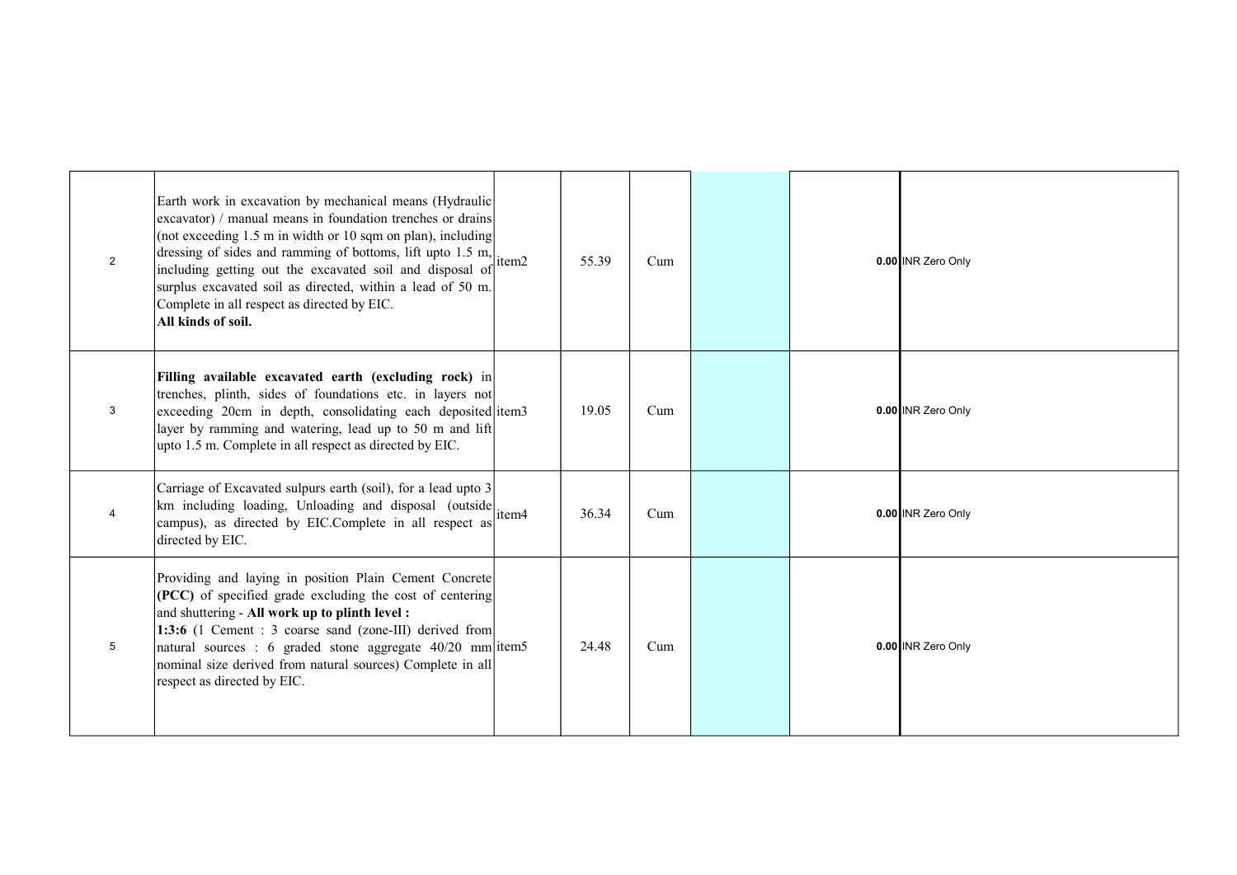| 2 | Earth work in excavation by mechanical means (Hydraulic<br>excavator) / manual means in foundation trenches or drains<br>(not exceeding 1.5 m in width or 10 sqm on plan), including<br>dressing of sides and ramming of bottoms, lift upto 1.5 m,<br>including getting out the excavated soil and disposal of<br>surplus excavated soil as directed, within a lead of 50 m.<br>Complete in all respect as directed by EIC.<br>All kinds of soil. | item2 | 55.39 | Cum |  | 0.00 INR Zero Only |
|---|---------------------------------------------------------------------------------------------------------------------------------------------------------------------------------------------------------------------------------------------------------------------------------------------------------------------------------------------------------------------------------------------------------------------------------------------------|-------|-------|-----|--|--------------------|
| 3 | Filling available excavated earth (excluding rock) in<br>trenches, plinth, sides of foundations etc. in layers not<br>exceeding 20cm in depth, consolidating each deposited item3<br>layer by ramming and watering, lead up to 50 m and lift<br>upto 1.5 m. Complete in all respect as directed by EIC.                                                                                                                                           |       | 19.05 | Cum |  | 0.00 INR Zero Only |
|   | Carriage of Excavated sulpurs earth (soil), for a lead upto 3<br>$\left  \text{km} \right $ including loading, Unloading and disposal (outside) $\left  \text{item4} \right $<br>campus), as directed by EIC.Complete in all respect as<br>directed by EIC.                                                                                                                                                                                       |       | 36.34 | Cum |  | 0.00 INR Zero Only |
| 5 | Providing and laying in position Plain Cement Concrete<br>$  (PCC)$ of specified grade excluding the cost of centering<br>and shuttering - All work up to plinth level:<br>1:3:6 (1 Cement : 3 coarse sand (zone-III) derived from<br>natural sources : 6 graded stone aggregate $40/20$ mm item5<br>nominal size derived from natural sources) Complete in all<br>respect as directed by EIC.                                                    |       | 24.48 | Cum |  | 0.00 INR Zero Only |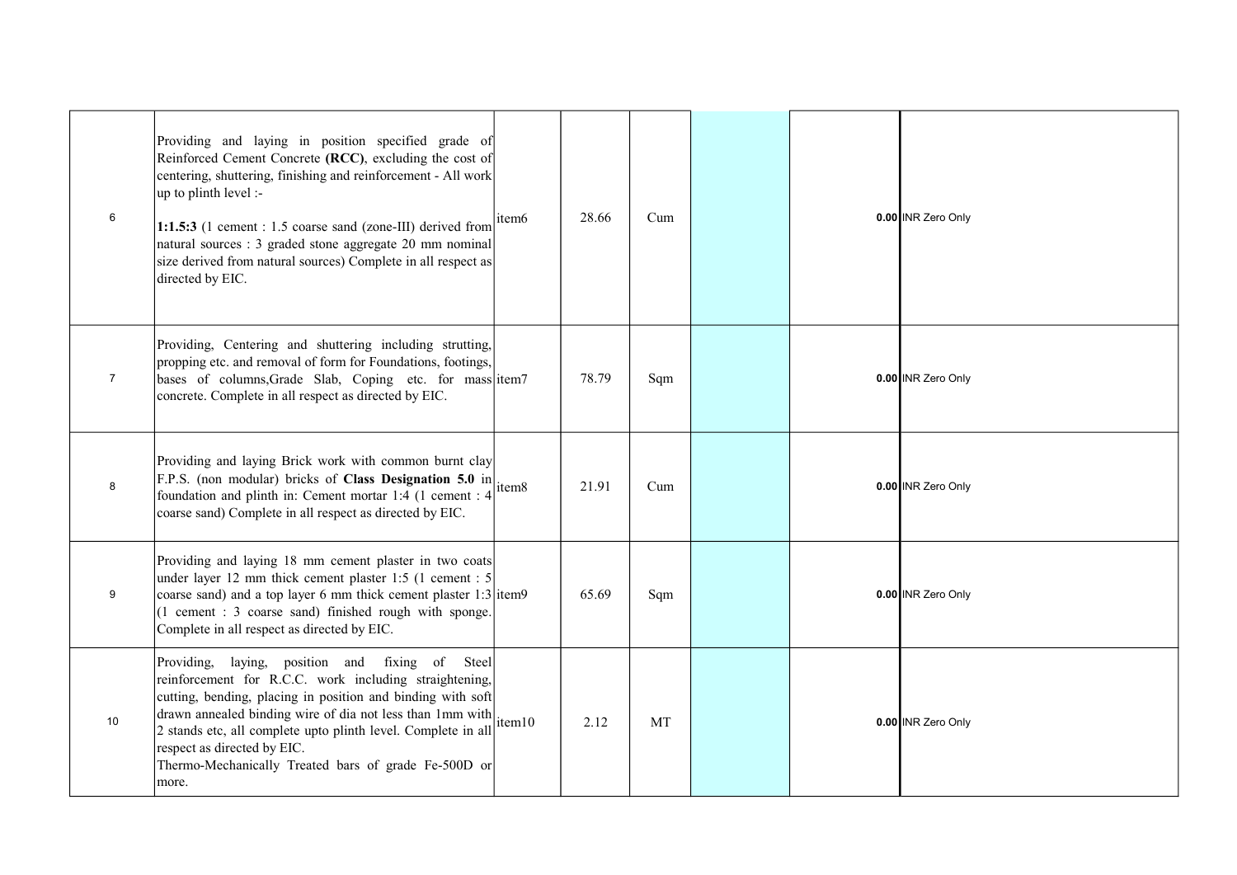| 6               | Providing and laying in position specified grade of<br>Reinforced Cement Concrete (RCC), excluding the cost of<br>centering, shuttering, finishing and reinforcement - All work<br>$\mu$ to plinth level :-<br>1:1.5:3 (1 cement : 1.5 coarse sand (zone-III) derived from<br>natural sources : 3 graded stone aggregate 20 mm nominal<br>size derived from natural sources) Complete in all respect as<br>directed by EIC.                                                                                                                                                                                                                                                | item6 | 28.66 | Cum |  | 0.00 INR Zero Only |
|-----------------|----------------------------------------------------------------------------------------------------------------------------------------------------------------------------------------------------------------------------------------------------------------------------------------------------------------------------------------------------------------------------------------------------------------------------------------------------------------------------------------------------------------------------------------------------------------------------------------------------------------------------------------------------------------------------|-------|-------|-----|--|--------------------|
| $\overline{7}$  | Providing, Centering and shuttering including strutting,<br>propping etc. and removal of form for Foundations, footings,<br>bases of columns, Grade Slab, Coping etc. for mass item7<br>concrete. Complete in all respect as directed by EIC.                                                                                                                                                                                                                                                                                                                                                                                                                              |       | 78.79 | Sqm |  | 0.00 INR Zero Only |
| 8               | Providing and laying Brick work with common burnt clay<br>From the distribution of Class Designation 5.0 in $\left  \frac{\text{F.D.S.}}{\text{F.P.S.}} \right $ (non-modular) bricks of Class Designation 5.0 in<br>foundation and plinth in: Cement mortar 1:4 (1 cement : 4)<br>coarse sand) Complete in all respect as directed by EIC.                                                                                                                                                                                                                                                                                                                                |       | 21.91 | Cum |  | 0.00 INR Zero Only |
| 9               | Providing and laying 18 mm cement plaster in two coats<br>under layer 12 mm thick cement plaster 1:5 (1 cement : 5<br>coarse sand) and a top layer 6 mm thick cement plaster 1:3 item9<br>$(1$ cement : 3 coarse sand) finished rough with sponge.<br>Complete in all respect as directed by EIC.                                                                                                                                                                                                                                                                                                                                                                          |       | 65.69 | Sqm |  | 0.00 INR Zero Only |
| 10 <sup>°</sup> | Providing, laying, position and fixing of Steel<br>reinforcement for R.C.C. work including straightening,<br>cutting, bending, placing in position and binding with soft<br>$\begin{bmatrix} 1 & 0 & 0 & 0 \\ 0 & 0 & 0 & 0 \\ 0 & 0 & 0 & 0 \\ 0 & 0 & 0 & 0 \\ 0 & 0 & 0 & 0 \\ 0 & 0 & 0 & 0 \\ 0 & 0 & 0 & 0 \\ 0 & 0 & 0 & 0 \\ 0 & 0 & 0 & 0 \\ 0 & 0 & 0 & 0 \\ 0 & 0 & 0 & 0 & 0 \\ 0 & 0 & 0 & 0 & 0 \\ 0 & 0 & 0 & 0 & 0 \\ 0 & 0 & 0 & 0 & 0 & 0 \\ 0 & 0 & 0 & 0 & 0 & 0 \\ 0 & 0 & 0 & 0 & $<br>2 stands etc, all complete upto plinth level. Complete in all<br>respect as directed by EIC.<br>Thermo-Mechanically Treated bars of grade Fe-500D or<br>more. |       | 2.12  | MT  |  | 0.00 INR Zero Only |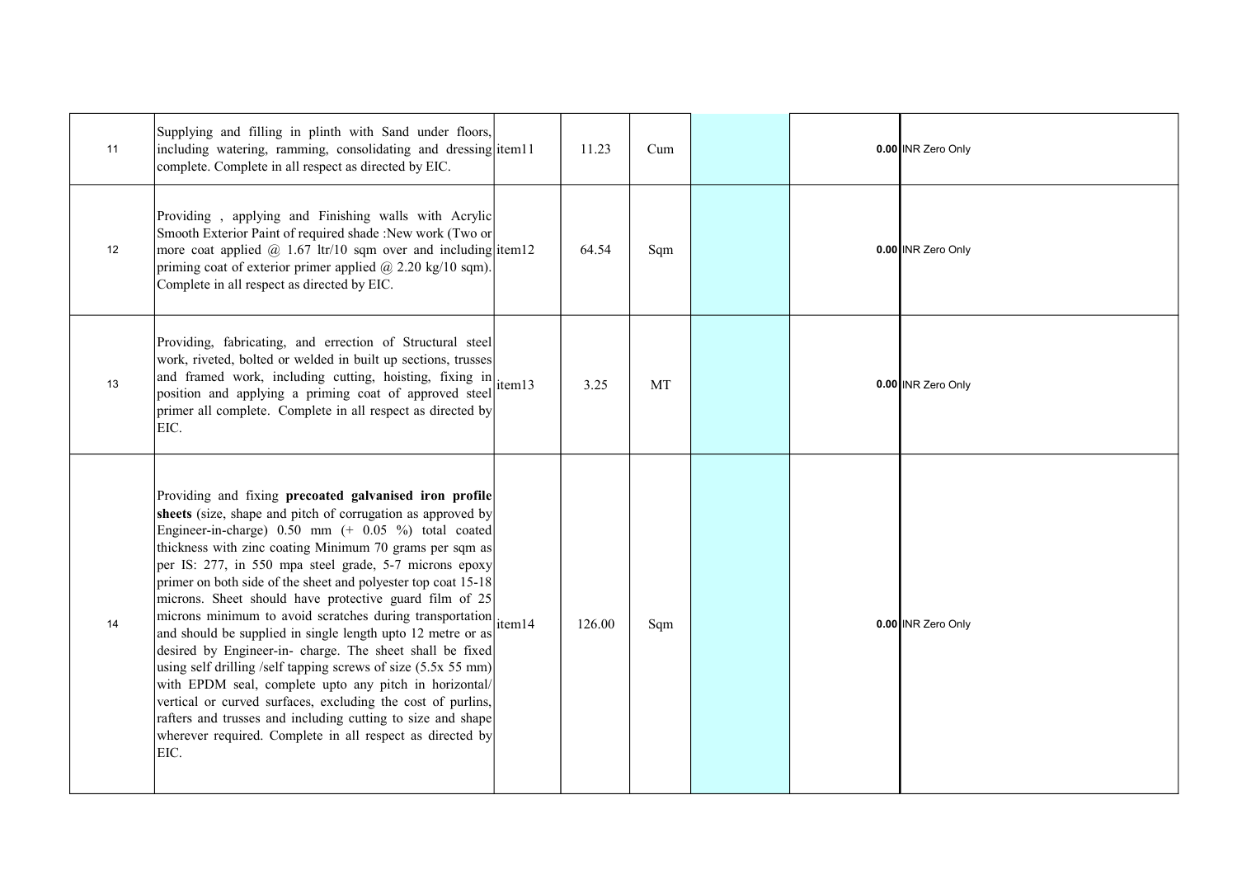| 11 | Supplying and filling in plinth with Sand under floors,<br>including watering, ramming, consolidating and dressing item11<br>complete. Complete in all respect as directed by EIC.                                                                                                                                                                                                                                                                                                                                                                                                                                                                                                                                                                                                                                                                                                                                                                                    | 11.23  | Cum       |  | 0.00 INR Zero Only |
|----|-----------------------------------------------------------------------------------------------------------------------------------------------------------------------------------------------------------------------------------------------------------------------------------------------------------------------------------------------------------------------------------------------------------------------------------------------------------------------------------------------------------------------------------------------------------------------------------------------------------------------------------------------------------------------------------------------------------------------------------------------------------------------------------------------------------------------------------------------------------------------------------------------------------------------------------------------------------------------|--------|-----------|--|--------------------|
| 12 | Providing, applying and Finishing walls with Acrylic<br>Smooth Exterior Paint of required shade :New work (Two or<br>more coat applied $\omega$ 1.67 ltr/10 sqm over and including item12<br>priming coat of exterior primer applied $\omega$ 2.20 kg/10 sqm).<br>Complete in all respect as directed by EIC.                                                                                                                                                                                                                                                                                                                                                                                                                                                                                                                                                                                                                                                         | 64.54  | Sqm       |  | 0.00 INR Zero Only |
| 13 | Providing, fabricating, and errection of Structural steel<br>work, riveted, bolted or welded in built up sections, trusses<br>and framed work, including cutting, hoisting, fixing in item13<br>position and applying a priming coat of approved steel<br>primer all complete. Complete in all respect as directed by<br>EIC.                                                                                                                                                                                                                                                                                                                                                                                                                                                                                                                                                                                                                                         | 3.25   | <b>MT</b> |  | 0.00 INR Zero Only |
| 14 | Providing and fixing precoated galvanised iron profile<br>sheets (size, shape and pitch of corrugation as approved by<br>Engineer-in-charge) 0.50 mm (+ 0.05 %) total coated<br>thickness with zinc coating Minimum 70 grams per sqm as<br>per IS: 277, in 550 mpa steel grade, 5-7 microns epoxy<br>primer on both side of the sheet and polyester top coat 15-18<br>microns. Sheet should have protective guard film of 25<br>microns minimum to avoid scratches during transportation <sub>item14</sub><br>and should be supplied in single length upto 12 metre or as<br>desired by Engineer-in- charge. The sheet shall be fixed<br>using self drilling /self tapping screws of size $(5.5x 55 mm)$<br>with EPDM seal, complete upto any pitch in horizontal/<br>vertical or curved surfaces, excluding the cost of purlins,<br>rafters and trusses and including cutting to size and shape<br>wherever required. Complete in all respect as directed by<br>EIC. | 126.00 | Sqm       |  | 0.00 INR Zero Only |